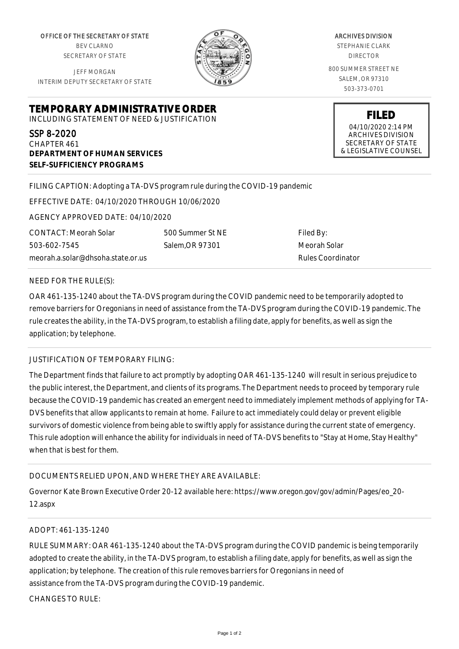OFFICE OF THE SECRETARY OF STATE BEV CLARNO SECRETARY OF STATE

JEFF MORGAN INTERIM DEPUTY SECRETARY OF STATE

**DEPARTMENT OF HUMAN SERVICES**

**SELF-SUFFICIENCY PROGRAMS**



ARCHIVES DIVISION

STEPHANIE CLARK DIRECTOR

800 SUMMER STREET NE SALEM, OR 97310 503-373-0701

> **FILED** 04/10/2020 2:14 PM ARCHIVES DIVISION

SECRETARY OF STATE & LEGISLATIVE COUNSEL

FILING CAPTION: Adopting a TA-DVS program rule during the COVID-19 pandemic

EFFECTIVE DATE: 04/10/2020 THROUGH 10/06/2020

**TEMPORARY ADMINISTRATIVE ORDER** INCLUDING STATEMENT OF NEED & JUSTIFICATION

AGENCY APPROVED DATE: 04/10/2020

CONTACT: Meorah Solar 503-602-7545 meorah.a.solar@dhsoha.state.or.us 500 Summer St NE Salem,OR 97301

Filed By: Meorah Solar Rules Coordinator

## NEED FOR THE RULE(S):

SSP 8-2020 CHAPTER 461

OAR 461-135-1240 about the TA-DVS program during the COVID pandemic need to be temporarily adopted to remove barriers for Oregonians in need of assistance from the TA-DVS program during the COVID-19 pandemic. The rule creates the ability, in the TA-DVS program, to establish a filing date, apply for benefits, as well as sign the application; by telephone.

## JUSTIFICATION OF TEMPORARY FILING:

The Department finds that failure to act promptly by adopting OAR 461-135-1240 will result in serious prejudice to the public interest, the Department, and clients of its programs. The Department needs to proceed by temporary rule because the COVID-19 pandemic has created an emergent need to immediately implement methods of applying for TA-DVS benefits that allow applicants to remain at home. Failure to act immediately could delay or prevent eligible survivors of domestic violence from being able to swiftly apply for assistance during the current state of emergency. This rule adoption will enhance the ability for individuals in need of TA-DVS benefits to "Stay at Home, Stay Healthy" when that is best for them.

## DOCUMENTS RELIED UPON, AND WHERE THEY ARE AVAILABLE:

Governor Kate Brown Executive Order 20-12 available here: https://www.oregon.gov/gov/admin/Pages/eo\_20- 12.aspx

## ADOPT: 461-135-1240

RULE SUMMARY: OAR 461-135-1240 about the TA-DVS program during the COVID pandemic is being temporarily adopted to create the ability, in the TA-DVS program, to establish a filing date, apply for benefits, as well as sign the application; by telephone. The creation of this rule removes barriers for Oregonians in need of assistance from the TA-DVS program during the COVID-19 pandemic.

CHANGES TO RULE: